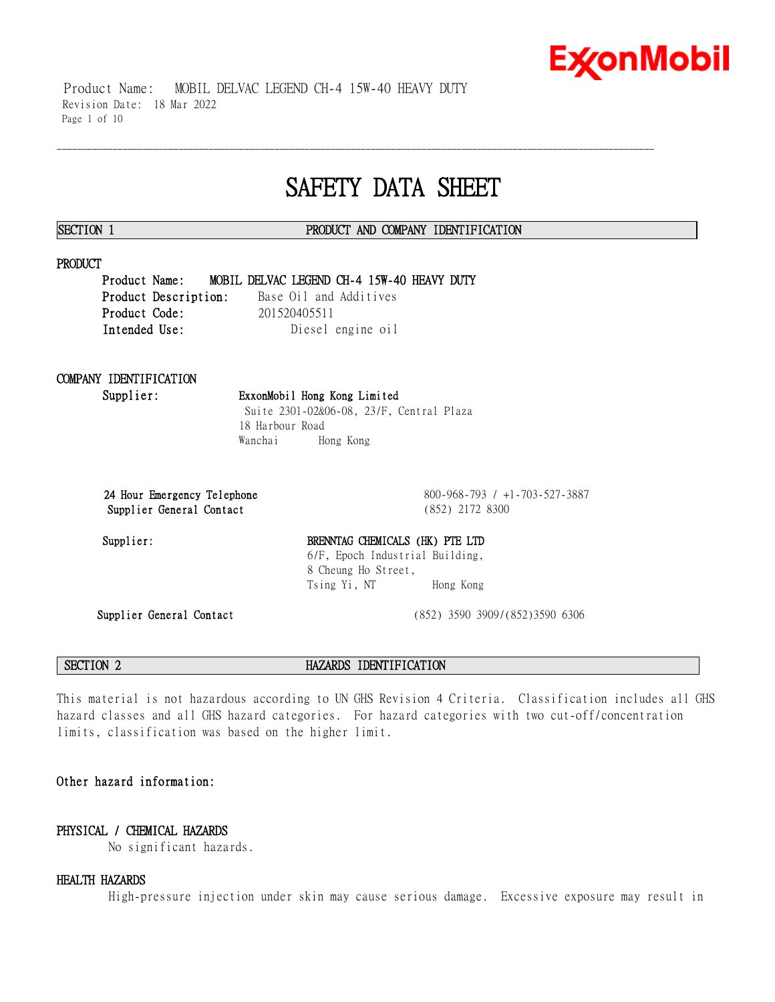# **ExconMobil**

 Product Name: MOBIL DELVAC LEGEND CH-4 15W-40 HEAVY DUTY Revision Date: 18 Mar 2022 Page 1 of 10

## **SAFETY DATA SHEET**

\_\_\_\_\_\_\_\_\_\_\_\_\_\_\_\_\_\_\_\_\_\_\_\_\_\_\_\_\_\_\_\_\_\_\_\_\_\_\_\_\_\_\_\_\_\_\_\_\_\_\_\_\_\_\_\_\_\_\_\_\_\_\_\_\_\_\_\_\_\_\_\_\_\_\_\_\_\_\_\_\_\_\_\_\_\_\_\_\_\_\_\_\_\_\_\_\_\_\_\_\_\_\_\_\_\_\_\_\_\_\_\_\_\_\_\_\_\_

### **SECTION 1 PRODUCT AND COMPANY IDENTIFICATION**

### **PRODUCT**

**Product Name: MOBIL DELVAC LEGEND CH-4 15W-40 HEAVY DUTY Product Description:** Base Oil and Additives **Product Code:** 201520405511 **Intended Use:** Diesel engine oil

## **COMPANY IDENTIFICATION**

**Supplier: ExxonMobil Hong Kong Limited** Suite 2301-02&06-08, 23/F, Central Plaza 18 Harbour Road Wanchai Hong Kong

**Supplier General Contact** (852) 2172 8300

**24 Hour Emergency Telephone** 800-968-793 / +1-703-527-3887

### Supplier: BRENNTAG CHEMICALS (HK) PTE LTD 6/F, Epoch Industrial Building, 8 Cheung Ho Street, Tsing Yi, NT Hong Kong

**Supplier General Contact** (852) 3590 3909/(852)3590 6306

**SECTION 2 HAZARDS IDENTIFICATION**

This material is not hazardous according to UN GHS Revision 4 Criteria. Classification includes all GHS hazard classes and all GHS hazard categories. For hazard categories with two cut-off/concentration limits, classification was based on the higher limit.

### **Other hazard information:**

### **PHYSICAL / CHEMICAL HAZARDS**

No significant hazards.

### **HEALTH HAZARDS**

High-pressure injection under skin may cause serious damage. Excessive exposure may result in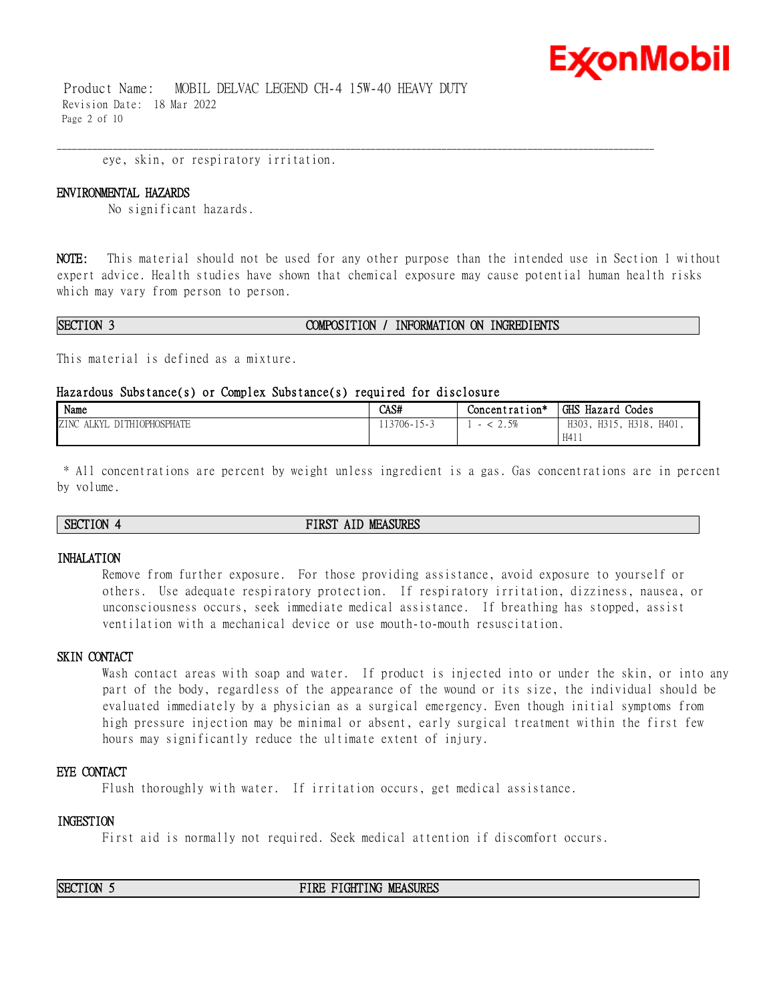

 Product Name: MOBIL DELVAC LEGEND CH-4 15W-40 HEAVY DUTY Revision Date: 18 Mar 2022 Page 2 of 10

eye, skin, or respiratory irritation.

#### **ENVIRONMENTAL HAZARDS**

No significant hazards.

**NOTE:** This material should not be used for any other purpose than the intended use in Section 1 without expert advice. Health studies have shown that chemical exposure may cause potential human health risks which may vary from person to person.

\_\_\_\_\_\_\_\_\_\_\_\_\_\_\_\_\_\_\_\_\_\_\_\_\_\_\_\_\_\_\_\_\_\_\_\_\_\_\_\_\_\_\_\_\_\_\_\_\_\_\_\_\_\_\_\_\_\_\_\_\_\_\_\_\_\_\_\_\_\_\_\_\_\_\_\_\_\_\_\_\_\_\_\_\_\_\_\_\_\_\_\_\_\_\_\_\_\_\_\_\_\_\_\_\_\_\_\_\_\_\_\_\_\_\_\_\_\_

#### **SECTION 3 COMPOSITION / INFORMATION ON INGREDIENTS**

This material is defined as a mixture.

#### **Hazardous Substance(s) or Complex Substance(s) required for disclosure**

| Name                                             | CAS#                               | Concentration*            | GHS Hazard<br>Codes                     |
|--------------------------------------------------|------------------------------------|---------------------------|-----------------------------------------|
| <b>DITHIOPHOSPHATE</b><br>ZINC<br>AT VV<br>יו דו | $13706 - 1$<br>$\sim$ 15 $\degree$ | 50<br>$\sim \cdot \sim v$ | H318.<br>H303<br>H401,<br>H315,<br>H411 |

\* All concentrations are percent by weight unless ingredient is a gas. Gas concentrations are in percent by volume.

#### **SECTION 4 FIRST AID MEASURES**

#### **INHALATION**

Remove from further exposure. For those providing assistance, avoid exposure to yourself or others. Use adequate respiratory protection. If respiratory irritation, dizziness, nausea, or unconsciousness occurs, seek immediate medical assistance. If breathing has stopped, assist ventilation with a mechanical device or use mouth-to-mouth resuscitation.

#### **SKIN CONTACT**

Wash contact areas with soap and water. If product is injected into or under the skin, or into any part of the body, regardless of the appearance of the wound or its size, the individual should be evaluated immediately by a physician as a surgical emergency. Even though initial symptoms from high pressure injection may be minimal or absent, early surgical treatment within the first few hours may significantly reduce the ultimate extent of injury.

#### **EYE CONTACT**

Flush thoroughly with water. If irritation occurs, get medical assistance.

#### **INGESTION**

First aid is normally not required. Seek medical attention if discomfort occurs.

**SECTION 5 FIRE FIGHTING MEASURES**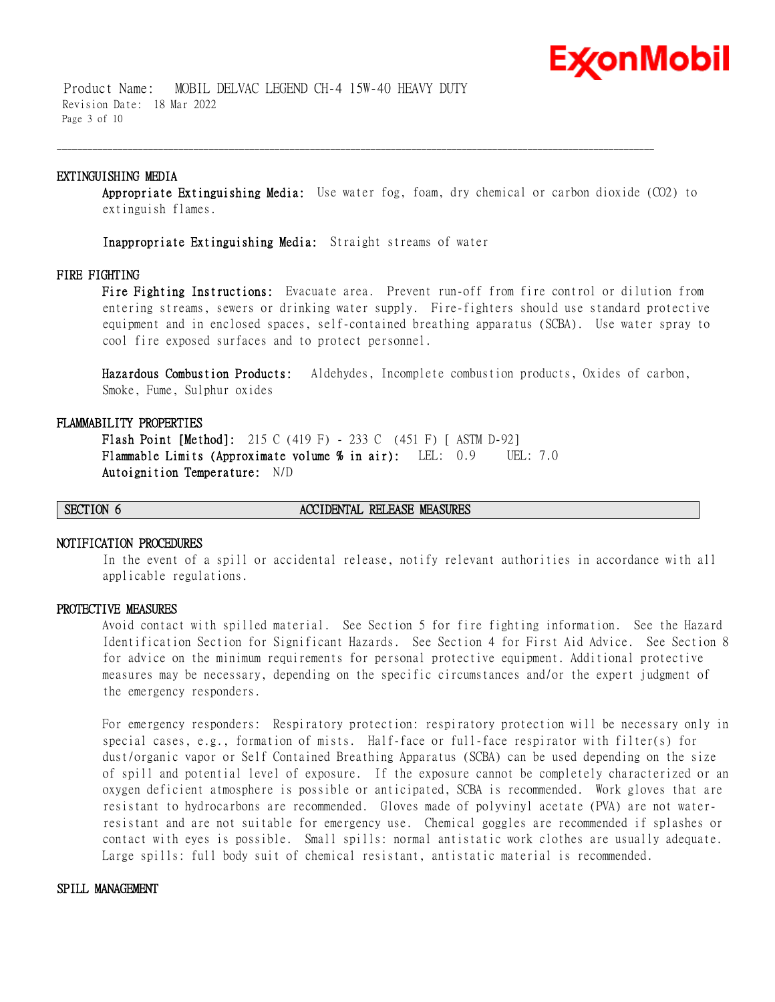

 Product Name: MOBIL DELVAC LEGEND CH-4 15W-40 HEAVY DUTY Revision Date: 18 Mar 2022 Page 3 of 10

#### **EXTINGUISHING MEDIA**

**Appropriate Extinguishing Media:** Use water fog, foam, dry chemical or carbon dioxide (CO2) to extinguish flames.

\_\_\_\_\_\_\_\_\_\_\_\_\_\_\_\_\_\_\_\_\_\_\_\_\_\_\_\_\_\_\_\_\_\_\_\_\_\_\_\_\_\_\_\_\_\_\_\_\_\_\_\_\_\_\_\_\_\_\_\_\_\_\_\_\_\_\_\_\_\_\_\_\_\_\_\_\_\_\_\_\_\_\_\_\_\_\_\_\_\_\_\_\_\_\_\_\_\_\_\_\_\_\_\_\_\_\_\_\_\_\_\_\_\_\_\_\_\_

**Inappropriate Extinguishing Media:** Straight streams of water

#### **FIRE FIGHTING**

**Fire Fighting Instructions:** Evacuate area. Prevent run-off from fire control or dilution from entering streams, sewers or drinking water supply. Fire-fighters should use standard protective equipment and in enclosed spaces, self-contained breathing apparatus (SCBA). Use water spray to cool fire exposed surfaces and to protect personnel.

**Hazardous Combustion Products:** Aldehydes, Incomplete combustion products, Oxides of carbon, Smoke, Fume, Sulphur oxides

#### **FLAMMABILITY PROPERTIES**

**Flash Point [Method]:** 215 C (419 F) - 233 C (451 F) [ ASTM D-92] **Flammable Limits (Approximate volume % in air):** LEL: 0.9 UEL: 7.0 **Autoignition Temperature:** N/D

#### **SECTION 6 ACCIDENTAL RELEASE MEASURES**

#### **NOTIFICATION PROCEDURES**

In the event of a spill or accidental release, notify relevant authorities in accordance with all applicable regulations.

#### **PROTECTIVE MEASURES**

Avoid contact with spilled material. See Section 5 for fire fighting information. See the Hazard Identification Section for Significant Hazards. See Section 4 for First Aid Advice. See Section 8 for advice on the minimum requirements for personal protective equipment. Additional protective measures may be necessary, depending on the specific circumstances and/or the expert judgment of the emergency responders.

For emergency responders: Respiratory protection: respiratory protection will be necessary only in special cases, e.g., formation of mists. Half-face or full-face respirator with filter(s) for dust/organic vapor or Self Contained Breathing Apparatus (SCBA) can be used depending on the size of spill and potential level of exposure. If the exposure cannot be completely characterized or an oxygen deficient atmosphere is possible or anticipated, SCBA is recommended. Work gloves that are resistant to hydrocarbons are recommended. Gloves made of polyvinyl acetate (PVA) are not waterresistant and are not suitable for emergency use. Chemical goggles are recommended if splashes or contact with eyes is possible. Small spills: normal antistatic work clothes are usually adequate. Large spills: full body suit of chemical resistant, antistatic material is recommended.

#### **SPILL MANAGEMENT**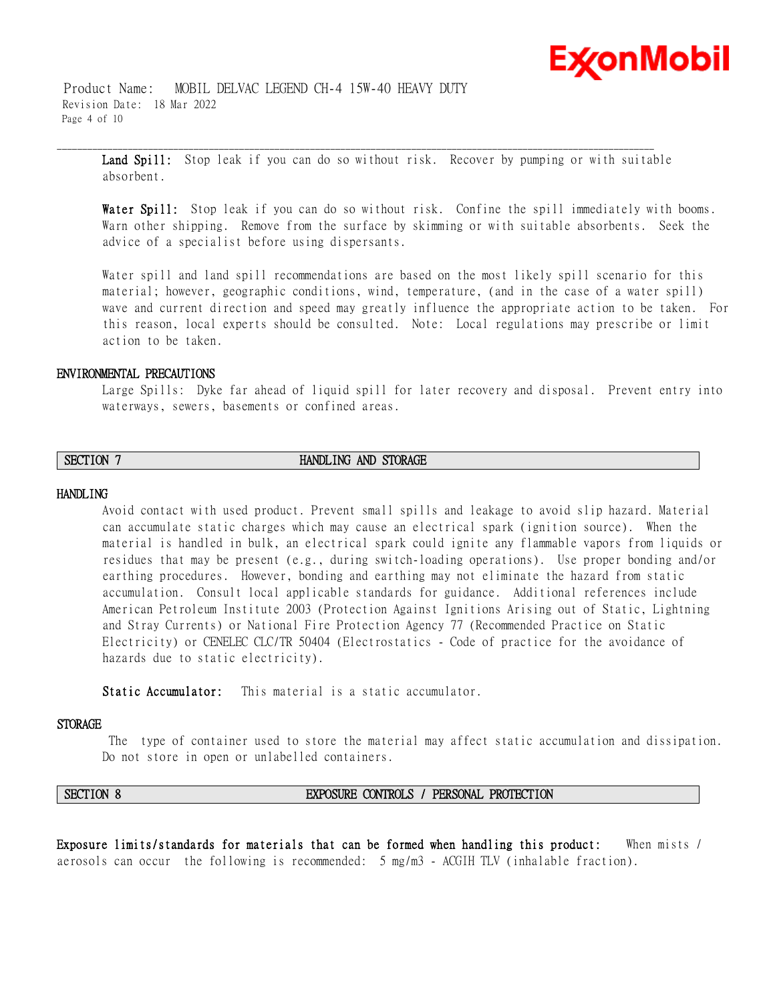

 Product Name: MOBIL DELVAC LEGEND CH-4 15W-40 HEAVY DUTY Revision Date: 18 Mar 2022 Page 4 of 10

**Land Spill:** Stop leak if you can do so without risk. Recover by pumping or with suitable absorbent.

\_\_\_\_\_\_\_\_\_\_\_\_\_\_\_\_\_\_\_\_\_\_\_\_\_\_\_\_\_\_\_\_\_\_\_\_\_\_\_\_\_\_\_\_\_\_\_\_\_\_\_\_\_\_\_\_\_\_\_\_\_\_\_\_\_\_\_\_\_\_\_\_\_\_\_\_\_\_\_\_\_\_\_\_\_\_\_\_\_\_\_\_\_\_\_\_\_\_\_\_\_\_\_\_\_\_\_\_\_\_\_\_\_\_\_\_\_\_

**Water Spill:** Stop leak if you can do so without risk. Confine the spill immediately with booms. Warn other shipping. Remove from the surface by skimming or with suitable absorbents. Seek the advice of a specialist before using dispersants.

Water spill and land spill recommendations are based on the most likely spill scenario for this material; however, geographic conditions, wind, temperature, (and in the case of a water spill) wave and current direction and speed may greatly influence the appropriate action to be taken. For this reason, local experts should be consulted. Note: Local regulations may prescribe or limit action to be taken.

#### **ENVIRONMENTAL PRECAUTIONS**

Large Spills: Dyke far ahead of liquid spill for later recovery and disposal. Prevent entry into waterways, sewers, basements or confined areas.

### **SECTION 7 HANDLING AND STORAGE**

#### **HANDLING**

Avoid contact with used product. Prevent small spills and leakage to avoid slip hazard. Material can accumulate static charges which may cause an electrical spark (ignition source). When the material is handled in bulk, an electrical spark could ignite any flammable vapors from liquids or residues that may be present (e.g., during switch-loading operations). Use proper bonding and/or earthing procedures. However, bonding and earthing may not eliminate the hazard from static accumulation. Consult local applicable standards for guidance. Additional references include American Petroleum Institute 2003 (Protection Against Ignitions Arising out of Static, Lightning and Stray Currents) or National Fire Protection Agency 77 (Recommended Practice on Static Electricity) or CENELEC CLC/TR 50404 (Electrostatics - Code of practice for the avoidance of hazards due to static electricity).

**Static Accumulator:** This material is a static accumulator.

#### **STORAGE**

The type of container used to store the material may affect static accumulation and dissipation. Do not store in open or unlabelled containers.

#### **SECTION 8 EXPOSURE CONTROLS / PERSONAL PROTECTION**

**Exposure limits/standards for materials that can be formed when handling this product:** When mists / aerosols can occur the following is recommended: 5 mg/m3 - ACGIH TLV (inhalable fraction).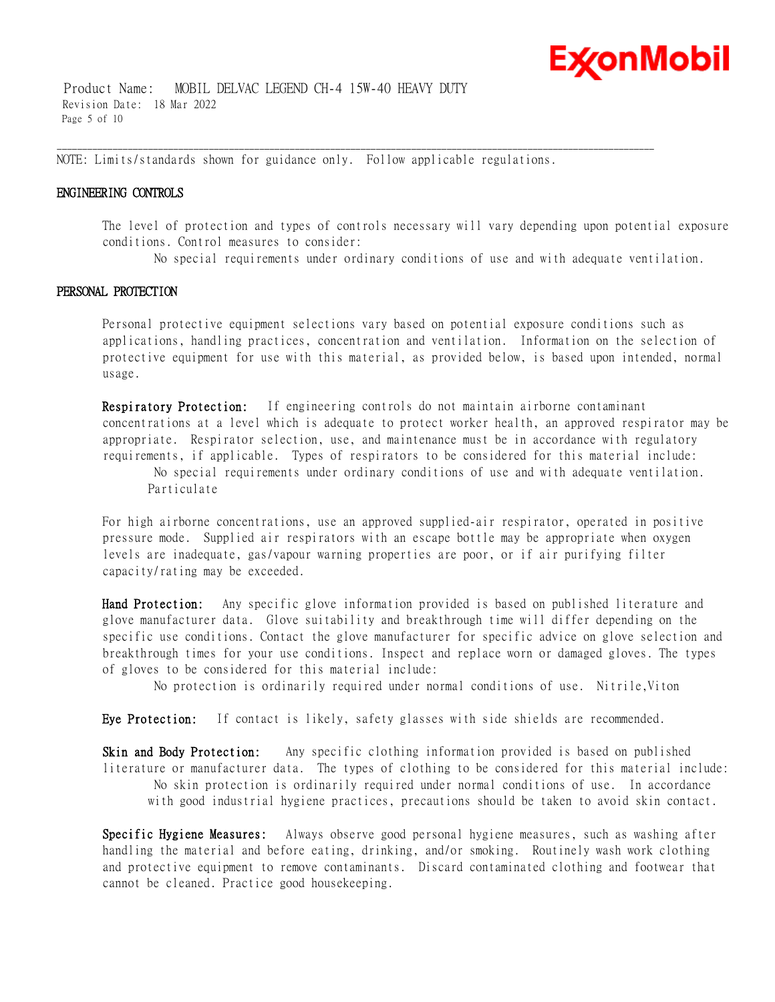

 Product Name: MOBIL DELVAC LEGEND CH-4 15W-40 HEAVY DUTY Revision Date: 18 Mar 2022 Page 5 of 10

NOTE: Limits/standards shown for guidance only. Follow applicable regulations.

\_\_\_\_\_\_\_\_\_\_\_\_\_\_\_\_\_\_\_\_\_\_\_\_\_\_\_\_\_\_\_\_\_\_\_\_\_\_\_\_\_\_\_\_\_\_\_\_\_\_\_\_\_\_\_\_\_\_\_\_\_\_\_\_\_\_\_\_\_\_\_\_\_\_\_\_\_\_\_\_\_\_\_\_\_\_\_\_\_\_\_\_\_\_\_\_\_\_\_\_\_\_\_\_\_\_\_\_\_\_\_\_\_\_\_\_\_\_

#### **ENGINEERING CONTROLS**

The level of protection and types of controls necessary will vary depending upon potential exposure conditions. Control measures to consider:

No special requirements under ordinary conditions of use and with adequate ventilation.

#### **PERSONAL PROTECTION**

Personal protective equipment selections vary based on potential exposure conditions such as applications, handling practices, concentration and ventilation. Information on the selection of protective equipment for use with this material, as provided below, is based upon intended, normal usage.

**Respiratory Protection:** If engineering controls do not maintain airborne contaminant concentrations at a level which is adequate to protect worker health, an approved respirator may be appropriate. Respirator selection, use, and maintenance must be in accordance with regulatory requirements, if applicable. Types of respirators to be considered for this material include:

No special requirements under ordinary conditions of use and with adequate ventilation. Particulate

For high airborne concentrations, use an approved supplied-air respirator, operated in positive pressure mode. Supplied air respirators with an escape bottle may be appropriate when oxygen levels are inadequate, gas/vapour warning properties are poor, or if air purifying filter capacity/rating may be exceeded.

**Hand Protection:** Any specific glove information provided is based on published literature and glove manufacturer data. Glove suitability and breakthrough time will differ depending on the specific use conditions. Contact the glove manufacturer for specific advice on glove selection and breakthrough times for your use conditions. Inspect and replace worn or damaged gloves. The types of gloves to be considered for this material include:

No protection is ordinarily required under normal conditions of use. Nitrile,Viton

**Eye Protection:** If contact is likely, safety glasses with side shields are recommended.

**Skin and Body Protection:** Any specific clothing information provided is based on published literature or manufacturer data. The types of clothing to be considered for this material include: No skin protection is ordinarily required under normal conditions of use. In accordance with good industrial hygiene practices, precautions should be taken to avoid skin contact.

**Specific Hygiene Measures:** Always observe good personal hygiene measures, such as washing after handling the material and before eating, drinking, and/or smoking. Routinely wash work clothing and protective equipment to remove contaminants. Discard contaminated clothing and footwear that cannot be cleaned. Practice good housekeeping.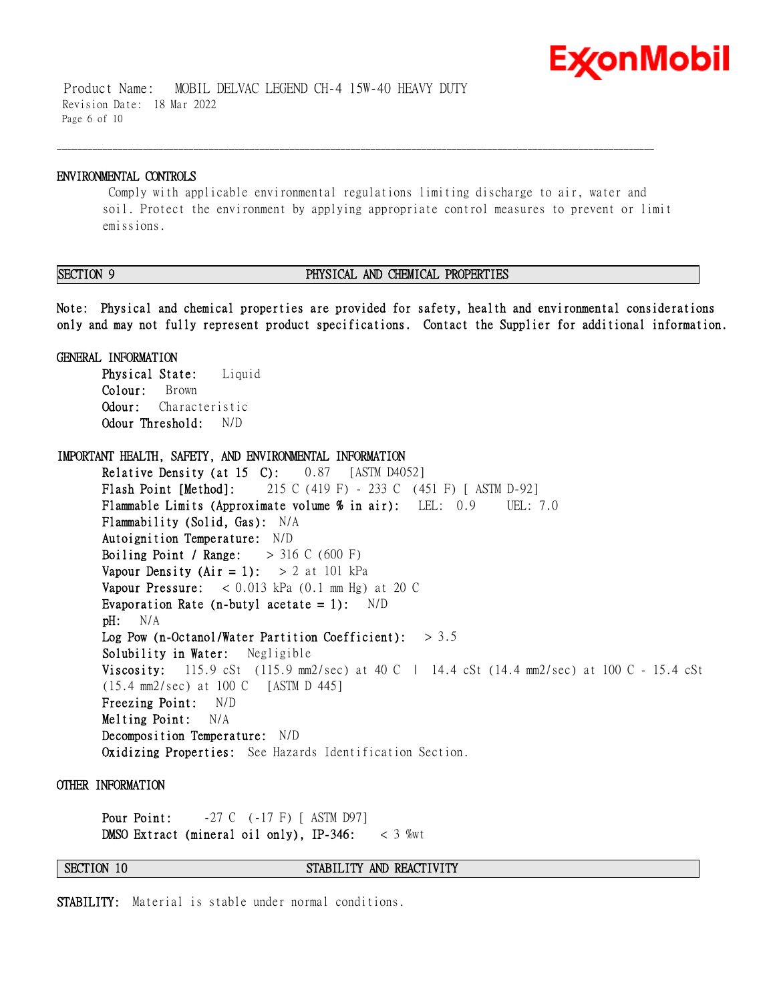

 Product Name: MOBIL DELVAC LEGEND CH-4 15W-40 HEAVY DUTY Revision Date: 18 Mar 2022 Page 6 of 10

#### **ENVIRONMENTAL CONTROLS**

Comply with applicable environmental regulations limiting discharge to air, water and soil. Protect the environment by applying appropriate control measures to prevent or limit emissions.

\_\_\_\_\_\_\_\_\_\_\_\_\_\_\_\_\_\_\_\_\_\_\_\_\_\_\_\_\_\_\_\_\_\_\_\_\_\_\_\_\_\_\_\_\_\_\_\_\_\_\_\_\_\_\_\_\_\_\_\_\_\_\_\_\_\_\_\_\_\_\_\_\_\_\_\_\_\_\_\_\_\_\_\_\_\_\_\_\_\_\_\_\_\_\_\_\_\_\_\_\_\_\_\_\_\_\_\_\_\_\_\_\_\_\_\_\_\_

### **SECTION 9 PHYSICAL AND CHEMICAL PROPERTIES**

**Note: Physical and chemical properties are provided for safety, health and environmental considerations only and may not fully represent product specifications. Contact the Supplier for additional information.**

**GENERAL INFORMATION Physical State:** Liquid **Colour:** Brown **Odour:** Characteristic **Odour Threshold:** N/D

**IMPORTANT HEALTH, SAFETY, AND ENVIRONMENTAL INFORMATION Relative Density (at 15 C):** 0.87 [ASTM D4052] **Flash Point [Method]:** 215 C (419 F) - 233 C (451 F) [ ASTM D-92] **Flammable Limits (Approximate volume % in air):** LEL: 0.9 UEL: 7.0 **Flammability (Solid, Gas):** N/A **Autoignition Temperature:** N/D **Boiling Point / Range:** > 316 C (600 F) **Vapour Density (Air = 1):**  $> 2$  at 101 kPa **Vapour Pressure:** < 0.013 kPa (0.1 mm Hg) at 20 C **Evaporation Rate (n-butyl acetate = 1):** N/D **pH:** N/A **Log Pow (n-Octanol/Water Partition Coefficient):** > 3.5 **Solubility in Water:** Negligible **Viscosity:** 115.9 cSt (115.9 mm2/sec) at 40 C | 14.4 cSt (14.4 mm2/sec) at 100 C - 15.4 cSt (15.4 mm2/sec) at 100 C [ASTM D 445] **Freezing Point:** N/D **Melting Point:** N/A **Decomposition Temperature:** N/D **Oxidizing Properties:** See Hazards Identification Section.

#### **OTHER INFORMATION**

**Pour Point:**  $-27 \text{ C}$  (-17 F) [ ASTM D97] **DMSO Extract (mineral oil only), IP-346:** < 3 %wt

**SECTION 10 STABILITY AND REACTIVITY** 

**STABILITY:** Material is stable under normal conditions.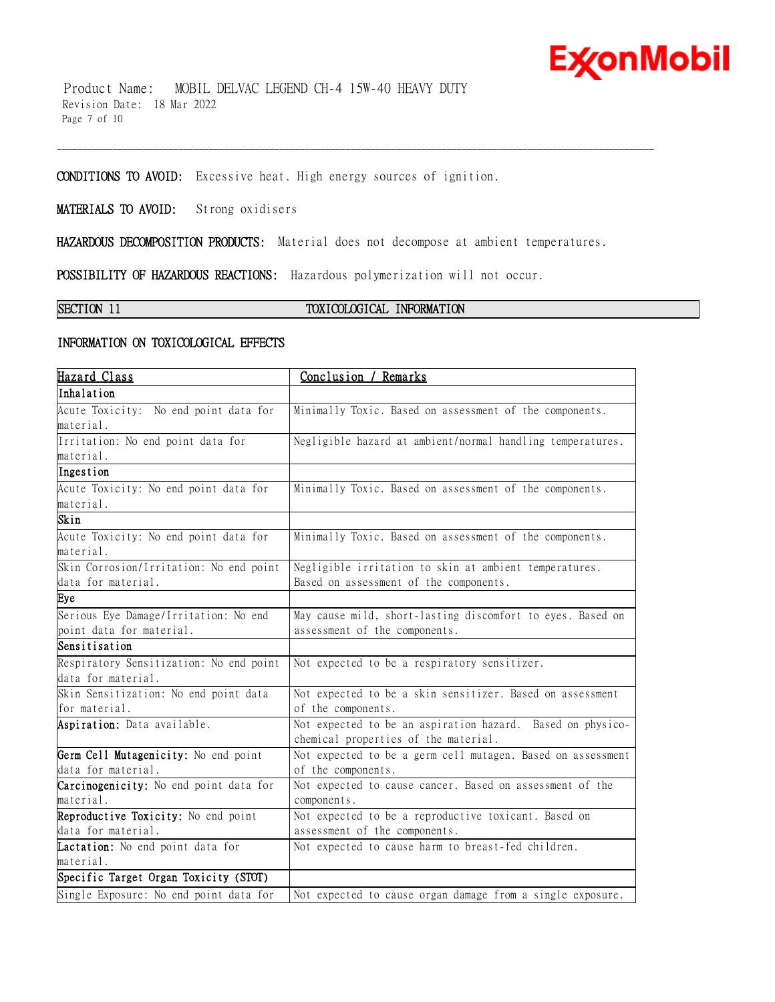## **ExconMobil**

 Product Name: MOBIL DELVAC LEGEND CH-4 15W-40 HEAVY DUTY Revision Date: 18 Mar 2022 Page 7 of 10

**CONDITIONS TO AVOID:** Excessive heat. High energy sources of ignition.

**MATERIALS TO AVOID:** Strong oxidisers

**HAZARDOUS DECOMPOSITION PRODUCTS:** Material does not decompose at ambient temperatures.

\_\_\_\_\_\_\_\_\_\_\_\_\_\_\_\_\_\_\_\_\_\_\_\_\_\_\_\_\_\_\_\_\_\_\_\_\_\_\_\_\_\_\_\_\_\_\_\_\_\_\_\_\_\_\_\_\_\_\_\_\_\_\_\_\_\_\_\_\_\_\_\_\_\_\_\_\_\_\_\_\_\_\_\_\_\_\_\_\_\_\_\_\_\_\_\_\_\_\_\_\_\_\_\_\_\_\_\_\_\_\_\_\_\_\_\_\_\_

**POSSIBILITY OF HAZARDOUS REACTIONS:** Hazardous polymerization will not occur.

### **SECTION 11 TOXICOLOGICAL INFORMATION**

### **INFORMATION ON TOXICOLOGICAL EFFECTS**

| Hazard Class                            | Conclusion / Remarks                                        |  |  |
|-----------------------------------------|-------------------------------------------------------------|--|--|
| Inhalation                              |                                                             |  |  |
| Acute Toxicity: No end point data for   | Minimally Toxic. Based on assessment of the components.     |  |  |
| material.                               |                                                             |  |  |
| Irritation: No end point data for       | Negligible hazard at ambient/normal handling temperatures.  |  |  |
| material.                               |                                                             |  |  |
| Ingestion                               |                                                             |  |  |
| Acute Toxicity: No end point data for   | Minimally Toxic. Based on assessment of the components.     |  |  |
| material.                               |                                                             |  |  |
| Skin                                    |                                                             |  |  |
| Acute Toxicity: No end point data for   | Minimally Toxic. Based on assessment of the components.     |  |  |
| material.                               |                                                             |  |  |
| Skin Corrosion/Irritation: No end point | Negligible irritation to skin at ambient temperatures.      |  |  |
| data for material.                      | Based on assessment of the components.                      |  |  |
| Eye                                     |                                                             |  |  |
| Serious Eye Damage/Irritation: No end   | May cause mild, short-lasting discomfort to eyes. Based on  |  |  |
| point data for material.                | assessment of the components.                               |  |  |
| Sensitisation                           |                                                             |  |  |
| Respiratory Sensitization: No end point | Not expected to be a respiratory sensitizer.                |  |  |
| data for material.                      |                                                             |  |  |
| Skin Sensitization: No end point data   | Not expected to be a skin sensitizer. Based on assessment   |  |  |
| for material.                           | of the components.                                          |  |  |
| Aspiration: Data available.             | Not expected to be an aspiration hazard. Based on physico-  |  |  |
|                                         | chemical properties of the material.                        |  |  |
| Germ Cell Mutagenicity: No end point    | Not expected to be a germ cell mutagen. Based on assessment |  |  |
| data for material.                      | of the components.                                          |  |  |
| Carcinogenicity: No end point data for  | Not expected to cause cancer. Based on assessment of the    |  |  |
| material.                               | components.                                                 |  |  |
| Reproductive Toxicity: No end point     | Not expected to be a reproductive toxicant. Based on        |  |  |
| data for material.                      | assessment of the components.                               |  |  |
| Lactation: No end point data for        | Not expected to cause harm to breast-fed children.          |  |  |
| material.                               |                                                             |  |  |
| Specific Target Organ Toxicity (STOT)   |                                                             |  |  |
| Single Exposure: No end point data for  | Not expected to cause organ damage from a single exposure.  |  |  |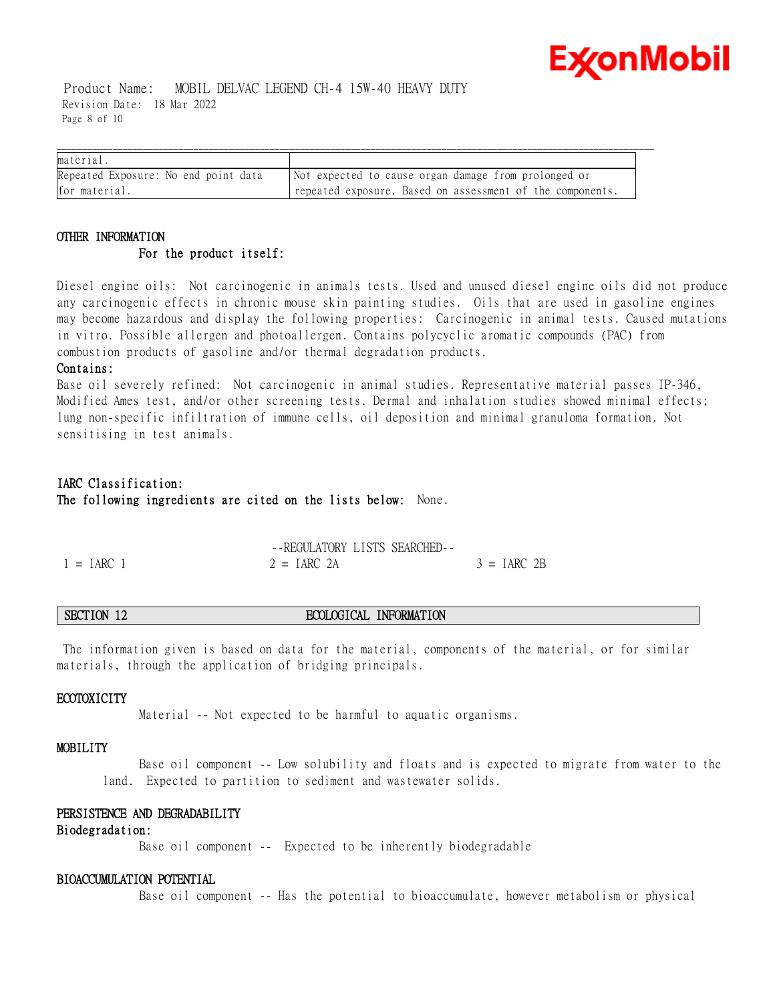# ExconMobil

 Product Name: MOBIL DELVAC LEGEND CH-4 15W-40 HEAVY DUTY Revision Date: 18 Mar 2022 Page 8 of 10

| material                             |                                                           |
|--------------------------------------|-----------------------------------------------------------|
| Repeated Exposure: No end point data | Not expected to cause organ damage from prolonged or      |
| for material.                        | repeated exposure. Based on assessment of the components. |

### **OTHER INFORMATION For the product itself:**

Diesel engine oils: Not carcinogenic in animals tests. Used and unused diesel engine oils did not produce any carcinogenic effects in chronic mouse skin painting studies. Oils that are used in gasoline engines may become hazardous and display the following properties: Carcinogenic in animal tests. Caused mutations in vitro. Possible allergen and photoallergen. Contains polycyclic aromatic compounds (PAC) from combustion products of gasoline and/or thermal degradation products.

### **Contains:**

Base oil severely refined: Not carcinogenic in animal studies. Representative material passes IP-346, Modified Ames test, and/or other screening tests. Dermal and inhalation studies showed minimal effects; lung non-specific infiltration of immune cells, oil deposition and minimal granuloma formation. Not sensitising in test animals.

### **IARC Classification: The following ingredients are cited on the lists below:** None.

|              | --REGULATORY LISTS SEARCHED- |               |
|--------------|------------------------------|---------------|
| $1 = IARC$ 1 | $2 = IARC 2A$                | $3 = IARC$ 2B |

### **SECTION 12 ECOLOGICAL INFORMATION**

The information given is based on data for the material, components of the material, or for similar materials, through the application of bridging principals.

### **ECOTOXICITY**

Material -- Not expected to be harmful to aquatic organisms.

#### **MOBILITY**

 Base oil component -- Low solubility and floats and is expected to migrate from water to the land. Expected to partition to sediment and wastewater solids.

### **PERSISTENCE AND DEGRADABILITY**

#### **Biodegradation:**

Base oil component -- Expected to be inherently biodegradable

### **BIOACCUMULATION POTENTIAL**

Base oil component -- Has the potential to bioaccumulate, however metabolism or physical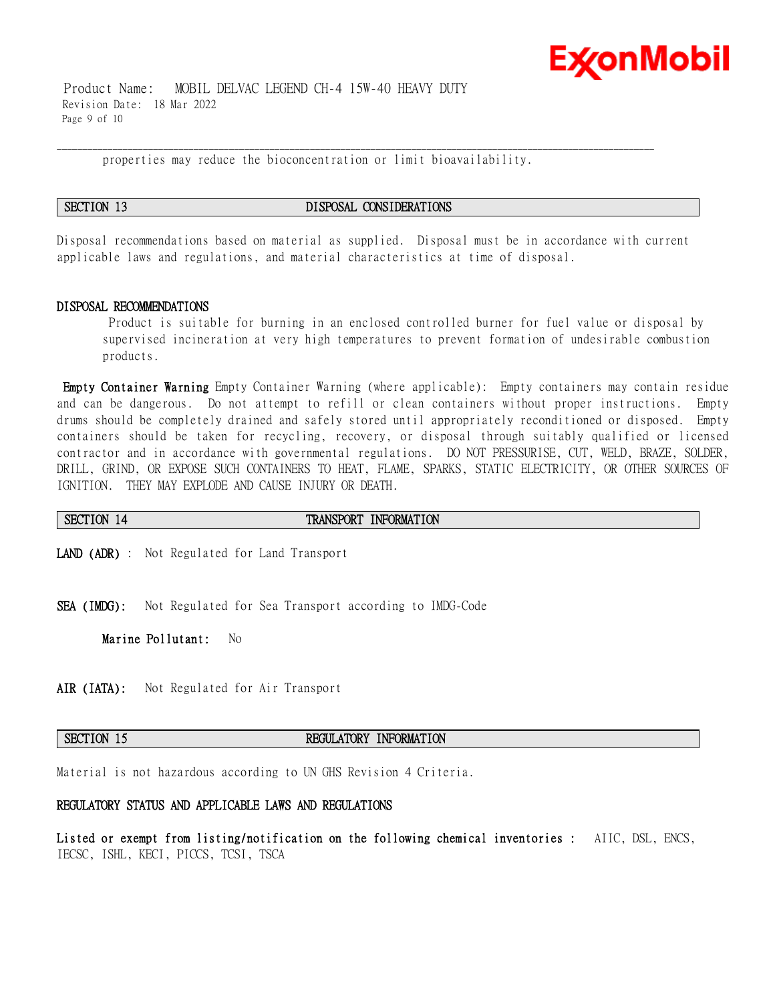

 Product Name: MOBIL DELVAC LEGEND CH-4 15W-40 HEAVY DUTY Revision Date: 18 Mar 2022 Page 9 of 10

properties may reduce the bioconcentration or limit bioavailability.

\_\_\_\_\_\_\_\_\_\_\_\_\_\_\_\_\_\_\_\_\_\_\_\_\_\_\_\_\_\_\_\_\_\_\_\_\_\_\_\_\_\_\_\_\_\_\_\_\_\_\_\_\_\_\_\_\_\_\_\_\_\_\_\_\_\_\_\_\_\_\_\_\_\_\_\_\_\_\_\_\_\_\_\_\_\_\_\_\_\_\_\_\_\_\_\_\_\_\_\_\_\_\_\_\_\_\_\_\_\_\_\_\_\_\_\_\_\_

#### **SECTION 13 DISPOSAL CONSIDERATIONS**

Disposal recommendations based on material as supplied. Disposal must be in accordance with current applicable laws and regulations, and material characteristics at time of disposal.

#### **DISPOSAL RECOMMENDATIONS**

Product is suitable for burning in an enclosed controlled burner for fuel value or disposal by supervised incineration at very high temperatures to prevent formation of undesirable combustion products.

**Empty Container Warning** Empty Container Warning (where applicable): Empty containers may contain residue and can be dangerous. Do not attempt to refill or clean containers without proper instructions. Empty drums should be completely drained and safely stored until appropriately reconditioned or disposed. Empty containers should be taken for recycling, recovery, or disposal through suitably qualified or licensed contractor and in accordance with governmental regulations. DO NOT PRESSURISE, CUT, WELD, BRAZE, SOLDER, DRILL, GRIND, OR EXPOSE SUCH CONTAINERS TO HEAT, FLAME, SPARKS, STATIC ELECTRICITY, OR OTHER SOURCES OF IGNITION. THEY MAY EXPLODE AND CAUSE INJURY OR DEATH.

**SECTION 14 TRANSPORT INFORMATION** 

**LAND (ADR)** : Not Regulated for Land Transport

**SEA (IMDG):** Not Regulated for Sea Transport according to IMDG-Code

**Marine Pollutant:** No

**AIR (IATA):** Not Regulated for Air Transport

#### **SECTION 15 REGULATORY INFORMATION**

Material is not hazardous according to UN GHS Revision 4 Criteria.

### **REGULATORY STATUS AND APPLICABLE LAWS AND REGULATIONS**

**Listed or exempt from listing/notification on the following chemical inventories :** AIIC, DSL, ENCS, IECSC, ISHL, KECI, PICCS, TCSI, TSCA